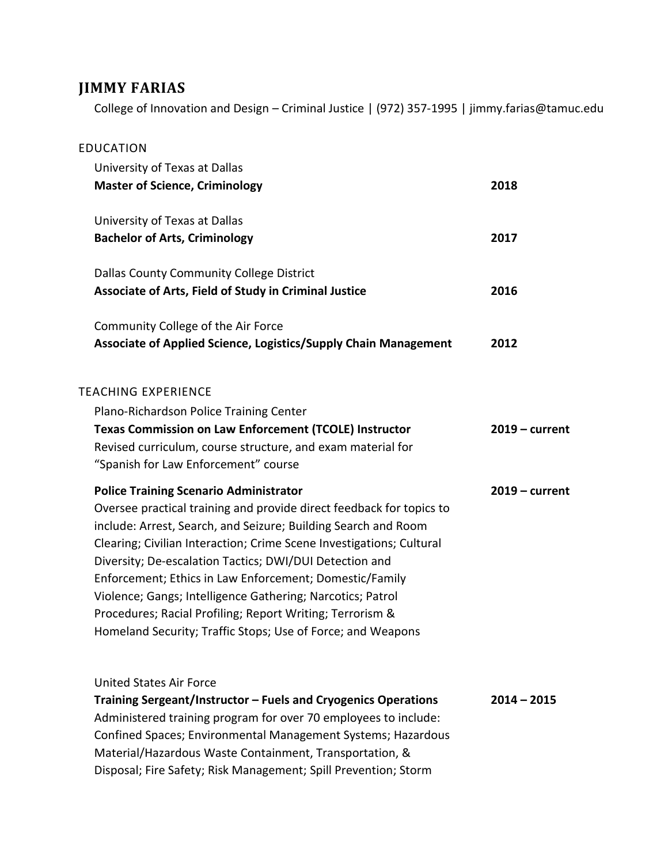# **JIMMY FARIAS**

College of Innovation and Design – Criminal Justice | (972) 357-1995 | jimmy.farias@tamuc.edu

| <b>EDUCATION</b>                                                                                                        |                  |
|-------------------------------------------------------------------------------------------------------------------------|------------------|
| University of Texas at Dallas                                                                                           |                  |
| <b>Master of Science, Criminology</b>                                                                                   | 2018             |
| University of Texas at Dallas                                                                                           |                  |
| <b>Bachelor of Arts, Criminology</b>                                                                                    | 2017             |
| Dallas County Community College District                                                                                |                  |
| Associate of Arts, Field of Study in Criminal Justice                                                                   | 2016             |
| Community College of the Air Force                                                                                      |                  |
| <b>Associate of Applied Science, Logistics/Supply Chain Management</b>                                                  | 2012             |
| <b>TEACHING EXPERIENCE</b>                                                                                              |                  |
| Plano-Richardson Police Training Center                                                                                 |                  |
| <b>Texas Commission on Law Enforcement (TCOLE) Instructor</b>                                                           | $2019$ – current |
| Revised curriculum, course structure, and exam material for                                                             |                  |
| "Spanish for Law Enforcement" course                                                                                    |                  |
| <b>Police Training Scenario Administrator</b>                                                                           | $2019 - current$ |
| Oversee practical training and provide direct feedback for topics to                                                    |                  |
| include: Arrest, Search, and Seizure; Building Search and Room                                                          |                  |
| Clearing; Civilian Interaction; Crime Scene Investigations; Cultural                                                    |                  |
| Diversity; De-escalation Tactics; DWI/DUI Detection and                                                                 |                  |
| Enforcement; Ethics in Law Enforcement; Domestic/Family                                                                 |                  |
| Violence; Gangs; Intelligence Gathering; Narcotics; Patrol<br>Procedures; Racial Profiling; Report Writing; Terrorism & |                  |
| Homeland Security; Traffic Stops; Use of Force; and Weapons                                                             |                  |
|                                                                                                                         |                  |
| <b>United States Air Force</b>                                                                                          |                  |
| Training Sergeant/Instructor - Fuels and Cryogenics Operations                                                          | $2014 - 2015$    |
| Administered training program for over 70 employees to include:                                                         |                  |
| Confined Spaces; Environmental Management Systems; Hazardous                                                            |                  |
| Material/Hazardous Waste Containment, Transportation, &                                                                 |                  |
| Disposal; Fire Safety; Risk Management; Spill Prevention; Storm                                                         |                  |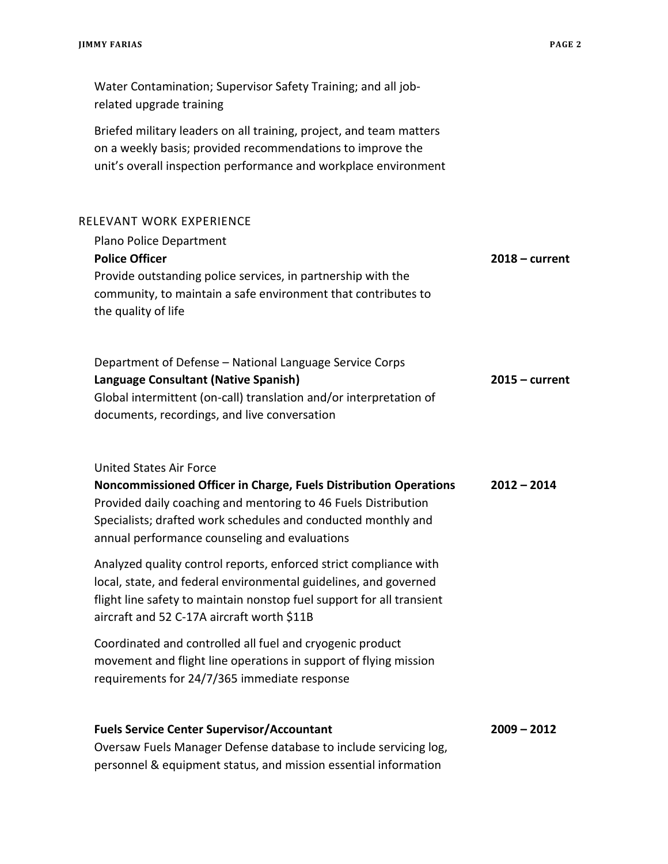| Water Contamination; Supervisor Safety Training; and all job-<br>related upgrade training                                                                                                                                                                                              |                  |
|----------------------------------------------------------------------------------------------------------------------------------------------------------------------------------------------------------------------------------------------------------------------------------------|------------------|
| Briefed military leaders on all training, project, and team matters<br>on a weekly basis; provided recommendations to improve the<br>unit's overall inspection performance and workplace environment                                                                                   |                  |
| RELEVANT WORK EXPERIENCE                                                                                                                                                                                                                                                               |                  |
| Plano Police Department<br><b>Police Officer</b><br>Provide outstanding police services, in partnership with the<br>community, to maintain a safe environment that contributes to<br>the quality of life                                                                               | $2018 - current$ |
| Department of Defense - National Language Service Corps<br>Language Consultant (Native Spanish)<br>Global intermittent (on-call) translation and/or interpretation of<br>documents, recordings, and live conversation                                                                  | $2015 - current$ |
| <b>United States Air Force</b><br>Noncommissioned Officer in Charge, Fuels Distribution Operations<br>Provided daily coaching and mentoring to 46 Fuels Distribution<br>Specialists; drafted work schedules and conducted monthly and<br>annual performance counseling and evaluations | $2012 - 2014$    |
| Analyzed quality control reports, enforced strict compliance with<br>local, state, and federal environmental guidelines, and governed<br>flight line safety to maintain nonstop fuel support for all transient<br>aircraft and 52 C-17A aircraft worth \$11B                           |                  |
| Coordinated and controlled all fuel and cryogenic product<br>movement and flight line operations in support of flying mission<br>requirements for 24/7/365 immediate response                                                                                                          |                  |
| <b>Fuels Service Center Supervisor/Accountant</b><br>Oversaw Fuels Manager Defense database to include servicing log.                                                                                                                                                                  | $2009 - 2012$    |

Oversaw Fuels Manager Defense database to include servicing log, personnel & equipment status, and mission essential information